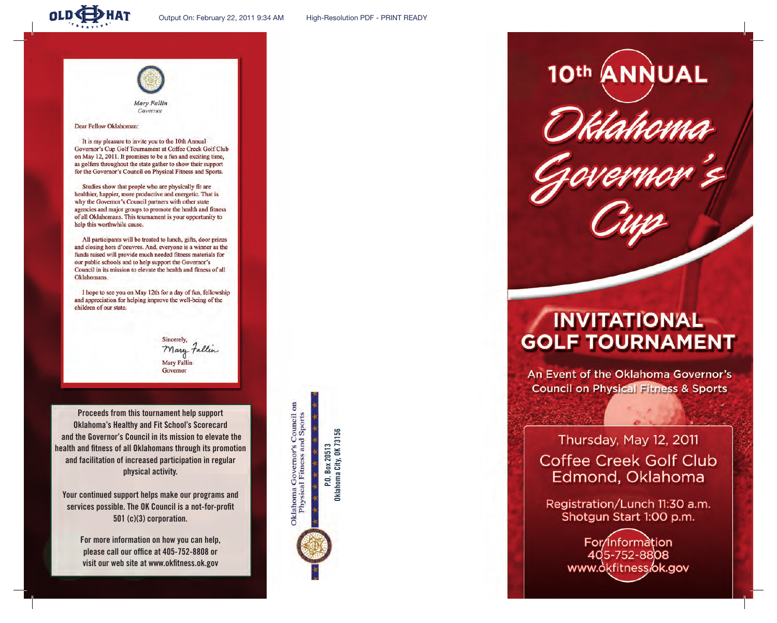

Dear Fellow Oklahoman:

It is my pleasure to invite you to the 10th Annual Governor's Cup Golf Tournament at Coffee Creek Golf Club on May 12, 2011. It promises to be a fun and exciting time, as golfers throughout the state gather to show their support for the Governor's Council on Physical Fitness and Sports.

Studies show that people who are physically fit are healthier, happier, more productive and energetic. That is why the Governor's Council partners with other state agencies and major groups to promote the health and fitness of all Oklahomans. This tournament is your opportunity to help this worthwhile cause.

All participants will be treated to lunch, gifts, door prizes and closing hors d'oeuvres. And, everyone is a winner as the funds raised will provide much needed fitness materials for our public schools and to help support the Governor's Council in its mission to elevate the health and fitness of all Oklahomans.

I hope to see you on May 12th for a day of fun, fellowship and appreciation for helping improve the well-being of the children of our state.

> **Sincerely** Mary Fallen **Mary Fallin** Governor

**Proceeds from this tournament help support Oklahoma's Healthy and Fit School's Scorecard and the Governor's Council in its mission to elevate the health and fitness of all Oklahomans through its promotion and facilitation of increased participation in regular physical activity.** 

**Your continued support helps make our programs and services possible. The OK Council is a not-for-profit 501 (c)(3) corporation.**

> **For more information on how you can help, please call our office at 405-752-8808 or visit our web site at www.okfitness.ok.gov**

Oklahoma Governor's Council on<br>Physical Fitness and Sports

**Oklahoma City, OK 73156**  P.O. Box 20513<br>Oklahoma City, OK 73156 **P.O. Box 20513**

10th ANNUAL

## **INVITATIONAL GOLF TOURNAMENT**

An Event of the Oklahoma Governor's **Council on Physical Fitness & Sports** 

## Thursday, May 12, 2011 **Coffee Creek Golf Club** Edmond, Oklahoma

Registration/Lunch 11:30 a.m. Shotgun Start 1:00 p.m.